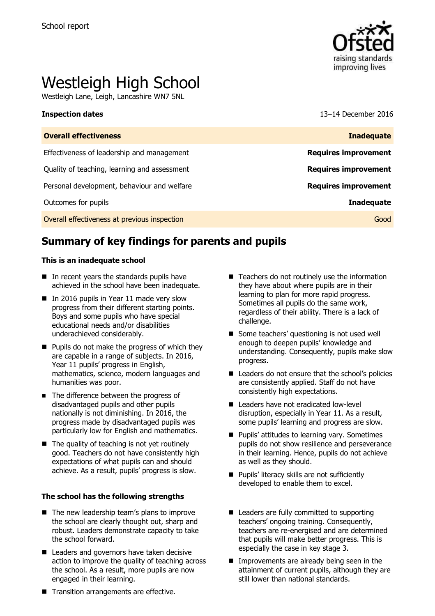

# Westleigh High School

Westleigh Lane, Leigh, Lancashire WN7 5NL

**Inspection dates** 13–14 December 2016

| <b>Overall effectiveness</b>                 | <b>Inadequate</b>           |
|----------------------------------------------|-----------------------------|
| Effectiveness of leadership and management   | <b>Requires improvement</b> |
| Quality of teaching, learning and assessment | <b>Requires improvement</b> |
| Personal development, behaviour and welfare  | <b>Requires improvement</b> |
| Outcomes for pupils                          | <b>Inadequate</b>           |
| Overall effectiveness at previous inspection | Good                        |

# **Summary of key findings for parents and pupils**

### **This is an inadequate school**

- In recent years the standards pupils have achieved in the school have been inadequate.
- In 2016 pupils in Year 11 made very slow progress from their different starting points. Boys and some pupils who have special educational needs and/or disabilities underachieved considerably.
- $\blacksquare$  Pupils do not make the progress of which they are capable in a range of subjects. In 2016, Year 11 pupils' progress in English, mathematics, science, modern languages and humanities was poor.
- The difference between the progress of disadvantaged pupils and other pupils nationally is not diminishing. In 2016, the progress made by disadvantaged pupils was particularly low for English and mathematics.
- $\blacksquare$  The quality of teaching is not yet routinely good. Teachers do not have consistently high expectations of what pupils can and should achieve. As a result, pupils' progress is slow.

### **The school has the following strengths**

- The new leadership team's plans to improve the school are clearly thought out, sharp and robust. Leaders demonstrate capacity to take the school forward.
- Leaders and governors have taken decisive action to improve the quality of teaching across the school. As a result, more pupils are now engaged in their learning.
- $\blacksquare$  Teachers do not routinely use the information they have about where pupils are in their learning to plan for more rapid progress. Sometimes all pupils do the same work, regardless of their ability. There is a lack of challenge.
- Some teachers' questioning is not used well enough to deepen pupils' knowledge and understanding. Consequently, pupils make slow progress.
- Leaders do not ensure that the school's policies are consistently applied. Staff do not have consistently high expectations.
- Leaders have not eradicated low-level disruption, especially in Year 11. As a result, some pupils' learning and progress are slow.
- **Pupils' attitudes to learning vary. Sometimes** pupils do not show resilience and perseverance in their learning. Hence, pupils do not achieve as well as they should.
- **Pupils' literacy skills are not sufficiently** developed to enable them to excel.
- Leaders are fully committed to supporting teachers' ongoing training. Consequently, teachers are re-energised and are determined that pupils will make better progress. This is especially the case in key stage 3.
- **Improvements are already being seen in the** attainment of current pupils, although they are still lower than national standards.
- Transition arrangements are effective.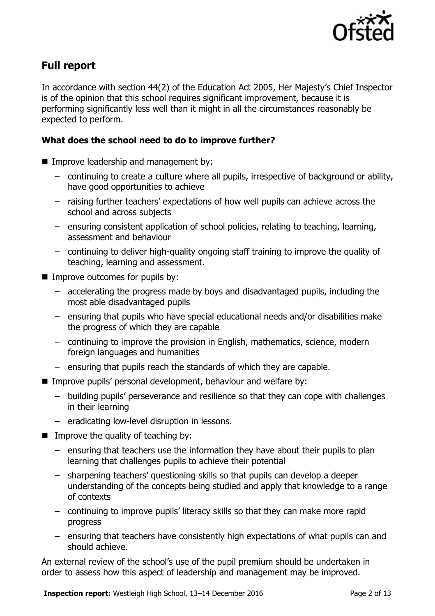

# **Full report**

In accordance with section 44(2) of the Education Act 2005, Her Majesty's Chief Inspector is of the opinion that this school requires significant improvement, because it is performing significantly less well than it might in all the circumstances reasonably be expected to perform.

### **What does the school need to do to improve further?**

- **IMPROPE Improve leadership and management by:** 
	- continuing to create a culture where all pupils, irrespective of background or ability, have good opportunities to achieve
	- raising further teachers' expectations of how well pupils can achieve across the school and across subjects
	- ensuring consistent application of school policies, relating to teaching, learning, assessment and behaviour
	- continuing to deliver high-quality ongoing staff training to improve the quality of teaching, learning and assessment.
- Improve outcomes for pupils by:
	- accelerating the progress made by boys and disadvantaged pupils, including the most able disadvantaged pupils
	- ensuring that pupils who have special educational needs and/or disabilities make the progress of which they are capable
	- continuing to improve the provision in English, mathematics, science, modern foreign languages and humanities
	- ensuring that pupils reach the standards of which they are capable.
- Improve pupils' personal development, behaviour and welfare by:
	- building pupils' perseverance and resilience so that they can cope with challenges in their learning
	- eradicating low-level disruption in lessons.
- $\blacksquare$  Improve the quality of teaching by:
	- ensuring that teachers use the information they have about their pupils to plan learning that challenges pupils to achieve their potential
	- sharpening teachers' questioning skills so that pupils can develop a deeper understanding of the concepts being studied and apply that knowledge to a range of contexts
	- continuing to improve pupils' literacy skills so that they can make more rapid progress
	- ensuring that teachers have consistently high expectations of what pupils can and should achieve.

An external review of the school's use of the pupil premium should be undertaken in order to assess how this aspect of leadership and management may be improved.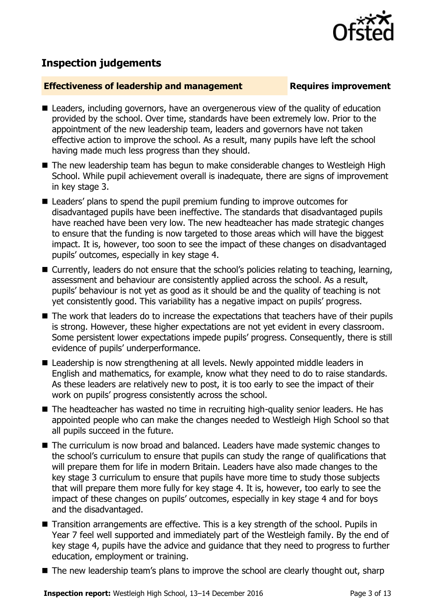

# **Inspection judgements**

### **Effectiveness of leadership and management Requires improvement**

- Leaders, including governors, have an overgenerous view of the quality of education provided by the school. Over time, standards have been extremely low. Prior to the appointment of the new leadership team, leaders and governors have not taken effective action to improve the school. As a result, many pupils have left the school having made much less progress than they should.
- The new leadership team has begun to make considerable changes to Westleigh High School. While pupil achievement overall is inadequate, there are signs of improvement in key stage 3.
- Leaders' plans to spend the pupil premium funding to improve outcomes for disadvantaged pupils have been ineffective. The standards that disadvantaged pupils have reached have been very low. The new headteacher has made strategic changes to ensure that the funding is now targeted to those areas which will have the biggest impact. It is, however, too soon to see the impact of these changes on disadvantaged pupils' outcomes, especially in key stage 4.
- Currently, leaders do not ensure that the school's policies relating to teaching, learning, assessment and behaviour are consistently applied across the school. As a result, pupils' behaviour is not yet as good as it should be and the quality of teaching is not yet consistently good. This variability has a negative impact on pupils' progress.
- The work that leaders do to increase the expectations that teachers have of their pupils is strong. However, these higher expectations are not yet evident in every classroom. Some persistent lower expectations impede pupils' progress. Consequently, there is still evidence of pupils' underperformance.
- Leadership is now strengthening at all levels. Newly appointed middle leaders in English and mathematics, for example, know what they need to do to raise standards. As these leaders are relatively new to post, it is too early to see the impact of their work on pupils' progress consistently across the school.
- The headteacher has wasted no time in recruiting high-quality senior leaders. He has appointed people who can make the changes needed to Westleigh High School so that all pupils succeed in the future.
- The curriculum is now broad and balanced. Leaders have made systemic changes to the school's curriculum to ensure that pupils can study the range of qualifications that will prepare them for life in modern Britain. Leaders have also made changes to the key stage 3 curriculum to ensure that pupils have more time to study those subjects that will prepare them more fully for key stage 4. It is, however, too early to see the impact of these changes on pupils' outcomes, especially in key stage 4 and for boys and the disadvantaged.
- Transition arrangements are effective. This is a key strength of the school. Pupils in Year 7 feel well supported and immediately part of the Westleigh family. By the end of key stage 4, pupils have the advice and guidance that they need to progress to further education, employment or training.
- The new leadership team's plans to improve the school are clearly thought out, sharp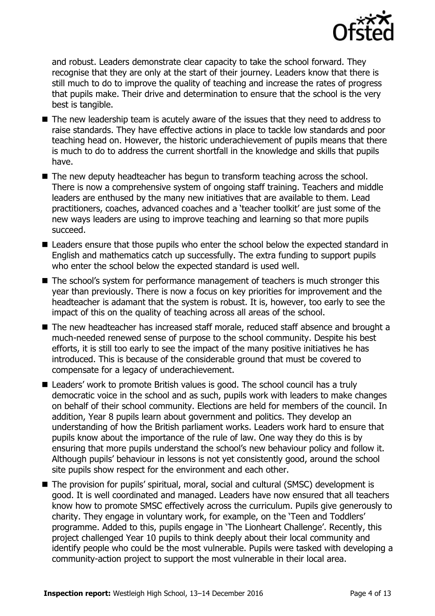

and robust. Leaders demonstrate clear capacity to take the school forward. They recognise that they are only at the start of their journey. Leaders know that there is still much to do to improve the quality of teaching and increase the rates of progress that pupils make. Their drive and determination to ensure that the school is the very best is tangible.

- The new leadership team is acutely aware of the issues that they need to address to raise standards. They have effective actions in place to tackle low standards and poor teaching head on. However, the historic underachievement of pupils means that there is much to do to address the current shortfall in the knowledge and skills that pupils have.
- The new deputy headteacher has begun to transform teaching across the school. There is now a comprehensive system of ongoing staff training. Teachers and middle leaders are enthused by the many new initiatives that are available to them. Lead practitioners, coaches, advanced coaches and a 'teacher toolkit' are just some of the new ways leaders are using to improve teaching and learning so that more pupils succeed.
- Leaders ensure that those pupils who enter the school below the expected standard in English and mathematics catch up successfully. The extra funding to support pupils who enter the school below the expected standard is used well.
- The school's system for performance management of teachers is much stronger this year than previously. There is now a focus on key priorities for improvement and the headteacher is adamant that the system is robust. It is, however, too early to see the impact of this on the quality of teaching across all areas of the school.
- The new headteacher has increased staff morale, reduced staff absence and brought a much-needed renewed sense of purpose to the school community. Despite his best efforts, it is still too early to see the impact of the many positive initiatives he has introduced. This is because of the considerable ground that must be covered to compensate for a legacy of underachievement.
- Leaders' work to promote British values is good. The school council has a truly democratic voice in the school and as such, pupils work with leaders to make changes on behalf of their school community. Elections are held for members of the council. In addition, Year 8 pupils learn about government and politics. They develop an understanding of how the British parliament works. Leaders work hard to ensure that pupils know about the importance of the rule of law. One way they do this is by ensuring that more pupils understand the school's new behaviour policy and follow it. Although pupils' behaviour in lessons is not yet consistently good, around the school site pupils show respect for the environment and each other.
- The provision for pupils' spiritual, moral, social and cultural (SMSC) development is good. It is well coordinated and managed. Leaders have now ensured that all teachers know how to promote SMSC effectively across the curriculum. Pupils give generously to charity. They engage in voluntary work, for example, on the 'Teen and Toddlers' programme. Added to this, pupils engage in 'The Lionheart Challenge'. Recently, this project challenged Year 10 pupils to think deeply about their local community and identify people who could be the most vulnerable. Pupils were tasked with developing a community-action project to support the most vulnerable in their local area.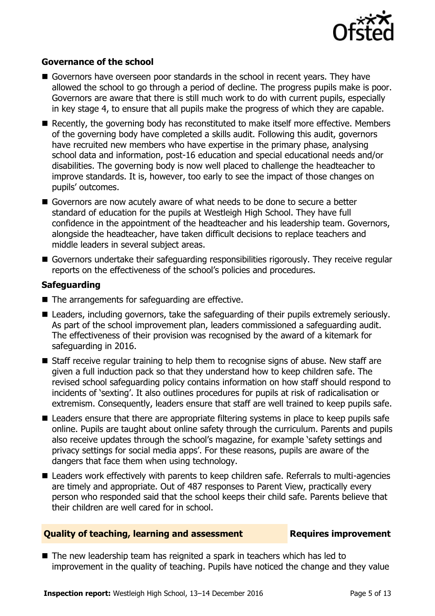

### **Governance of the school**

- Governors have overseen poor standards in the school in recent years. They have allowed the school to go through a period of decline. The progress pupils make is poor. Governors are aware that there is still much work to do with current pupils, especially in key stage 4, to ensure that all pupils make the progress of which they are capable.
- Recently, the governing body has reconstituted to make itself more effective. Members of the governing body have completed a skills audit. Following this audit, governors have recruited new members who have expertise in the primary phase, analysing school data and information, post-16 education and special educational needs and/or disabilities. The governing body is now well placed to challenge the headteacher to improve standards. It is, however, too early to see the impact of those changes on pupils' outcomes.
- Governors are now acutely aware of what needs to be done to secure a better standard of education for the pupils at Westleigh High School. They have full confidence in the appointment of the headteacher and his leadership team. Governors, alongside the headteacher, have taken difficult decisions to replace teachers and middle leaders in several subject areas.
- Governors undertake their safeguarding responsibilities rigorously. They receive regular reports on the effectiveness of the school's policies and procedures.

### **Safeguarding**

- $\blacksquare$  The arrangements for safeguarding are effective.
- **E** Leaders, including governors, take the safeguarding of their pupils extremely seriously. As part of the school improvement plan, leaders commissioned a safeguarding audit. The effectiveness of their provision was recognised by the award of a kitemark for safeguarding in 2016.
- Staff receive regular training to help them to recognise signs of abuse. New staff are given a full induction pack so that they understand how to keep children safe. The revised school safeguarding policy contains information on how staff should respond to incidents of 'sexting'. It also outlines procedures for pupils at risk of radicalisation or extremism. Consequently, leaders ensure that staff are well trained to keep pupils safe.
- Leaders ensure that there are appropriate filtering systems in place to keep pupils safe online. Pupils are taught about online safety through the curriculum. Parents and pupils also receive updates through the school's magazine, for example 'safety settings and privacy settings for social media apps'. For these reasons, pupils are aware of the dangers that face them when using technology.
- Leaders work effectively with parents to keep children safe. Referrals to multi-agencies are timely and appropriate. Out of 487 responses to Parent View, practically every person who responded said that the school keeps their child safe. Parents believe that their children are well cared for in school.

### **Quality of teaching, learning and assessment France Requires improvement**

■ The new leadership team has reignited a spark in teachers which has led to improvement in the quality of teaching. Pupils have noticed the change and they value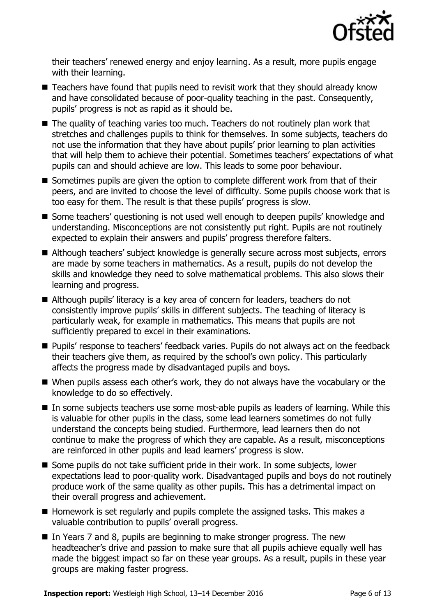

their teachers' renewed energy and enjoy learning. As a result, more pupils engage with their learning.

- Teachers have found that pupils need to revisit work that they should already know and have consolidated because of poor-quality teaching in the past. Consequently, pupils' progress is not as rapid as it should be.
- The quality of teaching varies too much. Teachers do not routinely plan work that stretches and challenges pupils to think for themselves. In some subjects, teachers do not use the information that they have about pupils' prior learning to plan activities that will help them to achieve their potential. Sometimes teachers' expectations of what pupils can and should achieve are low. This leads to some poor behaviour.
- Sometimes pupils are given the option to complete different work from that of their peers, and are invited to choose the level of difficulty. Some pupils choose work that is too easy for them. The result is that these pupils' progress is slow.
- Some teachers' questioning is not used well enough to deepen pupils' knowledge and understanding. Misconceptions are not consistently put right. Pupils are not routinely expected to explain their answers and pupils' progress therefore falters.
- Although teachers' subject knowledge is generally secure across most subjects, errors are made by some teachers in mathematics. As a result, pupils do not develop the skills and knowledge they need to solve mathematical problems. This also slows their learning and progress.
- Although pupils' literacy is a key area of concern for leaders, teachers do not consistently improve pupils' skills in different subjects. The teaching of literacy is particularly weak, for example in mathematics. This means that pupils are not sufficiently prepared to excel in their examinations.
- **Pupils'** response to teachers' feedback varies. Pupils do not always act on the feedback their teachers give them, as required by the school's own policy. This particularly affects the progress made by disadvantaged pupils and boys.
- When pupils assess each other's work, they do not always have the vocabulary or the knowledge to do so effectively.
- In some subjects teachers use some most-able pupils as leaders of learning. While this is valuable for other pupils in the class, some lead learners sometimes do not fully understand the concepts being studied. Furthermore, lead learners then do not continue to make the progress of which they are capable. As a result, misconceptions are reinforced in other pupils and lead learners' progress is slow.
- Some pupils do not take sufficient pride in their work. In some subjects, lower expectations lead to poor-quality work. Disadvantaged pupils and boys do not routinely produce work of the same quality as other pupils. This has a detrimental impact on their overall progress and achievement.
- $\blacksquare$  Homework is set regularly and pupils complete the assigned tasks. This makes a valuable contribution to pupils' overall progress.
- In Years 7 and 8, pupils are beginning to make stronger progress. The new headteacher's drive and passion to make sure that all pupils achieve equally well has made the biggest impact so far on these year groups. As a result, pupils in these year groups are making faster progress.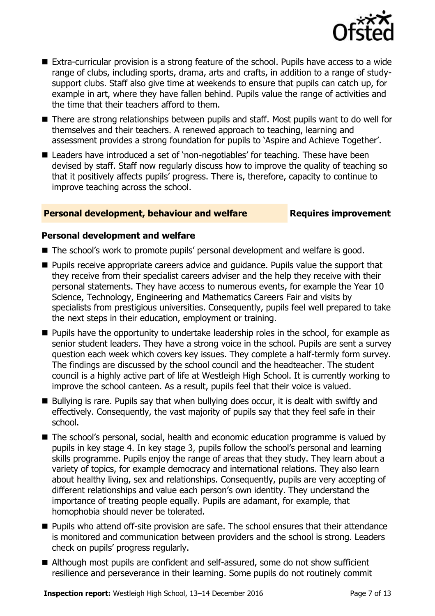

- Extra-curricular provision is a strong feature of the school. Pupils have access to a wide range of clubs, including sports, drama, arts and crafts, in addition to a range of studysupport clubs. Staff also give time at weekends to ensure that pupils can catch up, for example in art, where they have fallen behind. Pupils value the range of activities and the time that their teachers afford to them.
- There are strong relationships between pupils and staff. Most pupils want to do well for themselves and their teachers. A renewed approach to teaching, learning and assessment provides a strong foundation for pupils to 'Aspire and Achieve Together'.
- Leaders have introduced a set of 'non-negotiables' for teaching. These have been devised by staff. Staff now regularly discuss how to improve the quality of teaching so that it positively affects pupils' progress. There is, therefore, capacity to continue to improve teaching across the school.

### **Personal development, behaviour and welfare Fig. 2.1 Requires improvement**

### **Personal development and welfare**

- The school's work to promote pupils' personal development and welfare is good.
- **Pupils receive appropriate careers advice and guidance. Pupils value the support that** they receive from their specialist careers adviser and the help they receive with their personal statements. They have access to numerous events, for example the Year 10 Science, Technology, Engineering and Mathematics Careers Fair and visits by specialists from prestigious universities. Consequently, pupils feel well prepared to take the next steps in their education, employment or training.
- **Pupils have the opportunity to undertake leadership roles in the school, for example as** senior student leaders. They have a strong voice in the school. Pupils are sent a survey question each week which covers key issues. They complete a half-termly form survey. The findings are discussed by the school council and the headteacher. The student council is a highly active part of life at Westleigh High School. It is currently working to improve the school canteen. As a result, pupils feel that their voice is valued.
- Bullying is rare. Pupils say that when bullying does occur, it is dealt with swiftly and effectively. Consequently, the vast majority of pupils say that they feel safe in their school.
- The school's personal, social, health and economic education programme is valued by pupils in key stage 4. In key stage 3, pupils follow the school's personal and learning skills programme. Pupils enjoy the range of areas that they study. They learn about a variety of topics, for example democracy and international relations. They also learn about healthy living, sex and relationships. Consequently, pupils are very accepting of different relationships and value each person's own identity. They understand the importance of treating people equally. Pupils are adamant, for example, that homophobia should never be tolerated.
- **Pupils who attend off-site provision are safe. The school ensures that their attendance** is monitored and communication between providers and the school is strong. Leaders check on pupils' progress regularly.
- Although most pupils are confident and self-assured, some do not show sufficient resilience and perseverance in their learning. Some pupils do not routinely commit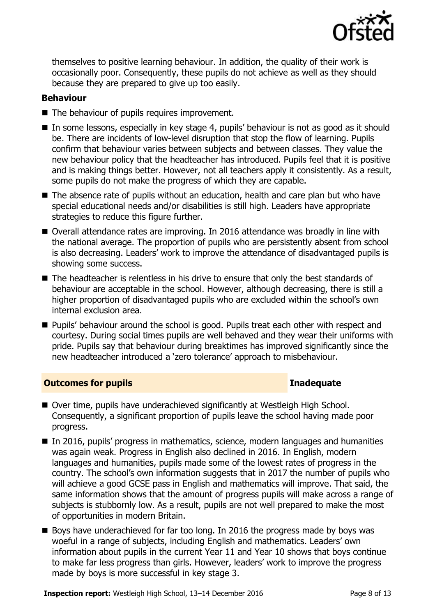

themselves to positive learning behaviour. In addition, the quality of their work is occasionally poor. Consequently, these pupils do not achieve as well as they should because they are prepared to give up too easily.

### **Behaviour**

- The behaviour of pupils requires improvement.
- In some lessons, especially in key stage 4, pupils' behaviour is not as good as it should be. There are incidents of low-level disruption that stop the flow of learning. Pupils confirm that behaviour varies between subjects and between classes. They value the new behaviour policy that the headteacher has introduced. Pupils feel that it is positive and is making things better. However, not all teachers apply it consistently. As a result, some pupils do not make the progress of which they are capable.
- The absence rate of pupils without an education, health and care plan but who have special educational needs and/or disabilities is still high. Leaders have appropriate strategies to reduce this figure further.
- Overall attendance rates are improving. In 2016 attendance was broadly in line with the national average. The proportion of pupils who are persistently absent from school is also decreasing. Leaders' work to improve the attendance of disadvantaged pupils is showing some success.
- The headteacher is relentless in his drive to ensure that only the best standards of behaviour are acceptable in the school. However, although decreasing, there is still a higher proportion of disadvantaged pupils who are excluded within the school's own internal exclusion area.
- **Pupils' behaviour around the school is good. Pupils treat each other with respect and** courtesy. During social times pupils are well behaved and they wear their uniforms with pride. Pupils say that behaviour during breaktimes has improved significantly since the new headteacher introduced a 'zero tolerance' approach to misbehaviour.

### **Outcomes for pupils Inadequate**

- Over time, pupils have underachieved significantly at Westleigh High School. Consequently, a significant proportion of pupils leave the school having made poor progress.
- In 2016, pupils' progress in mathematics, science, modern languages and humanities was again weak. Progress in English also declined in 2016. In English, modern languages and humanities, pupils made some of the lowest rates of progress in the country. The school's own information suggests that in 2017 the number of pupils who will achieve a good GCSE pass in English and mathematics will improve. That said, the same information shows that the amount of progress pupils will make across a range of subjects is stubbornly low. As a result, pupils are not well prepared to make the most of opportunities in modern Britain.
- Boys have underachieved for far too long. In 2016 the progress made by boys was woeful in a range of subjects, including English and mathematics. Leaders' own information about pupils in the current Year 11 and Year 10 shows that boys continue to make far less progress than girls. However, leaders' work to improve the progress made by boys is more successful in key stage 3.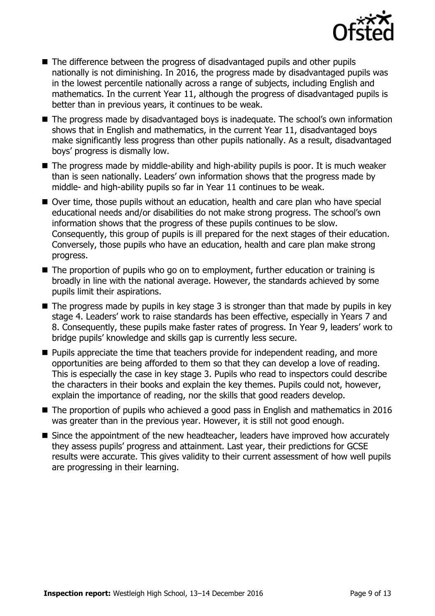

- The difference between the progress of disadvantaged pupils and other pupils nationally is not diminishing. In 2016, the progress made by disadvantaged pupils was in the lowest percentile nationally across a range of subjects, including English and mathematics. In the current Year 11, although the progress of disadvantaged pupils is better than in previous years, it continues to be weak.
- The progress made by disadvantaged boys is inadequate. The school's own information shows that in English and mathematics, in the current Year 11, disadvantaged boys make significantly less progress than other pupils nationally. As a result, disadvantaged boys' progress is dismally low.
- The progress made by middle-ability and high-ability pupils is poor. It is much weaker than is seen nationally. Leaders' own information shows that the progress made by middle- and high-ability pupils so far in Year 11 continues to be weak.
- Over time, those pupils without an education, health and care plan who have special educational needs and/or disabilities do not make strong progress. The school's own information shows that the progress of these pupils continues to be slow. Consequently, this group of pupils is ill prepared for the next stages of their education. Conversely, those pupils who have an education, health and care plan make strong progress.
- The proportion of pupils who go on to employment, further education or training is broadly in line with the national average. However, the standards achieved by some pupils limit their aspirations.
- $\blacksquare$  The progress made by pupils in key stage 3 is stronger than that made by pupils in key stage 4. Leaders' work to raise standards has been effective, especially in Years 7 and 8. Consequently, these pupils make faster rates of progress. In Year 9, leaders' work to bridge pupils' knowledge and skills gap is currently less secure.
- **Pupils appreciate the time that teachers provide for independent reading, and more** opportunities are being afforded to them so that they can develop a love of reading. This is especially the case in key stage 3. Pupils who read to inspectors could describe the characters in their books and explain the key themes. Pupils could not, however, explain the importance of reading, nor the skills that good readers develop.
- The proportion of pupils who achieved a good pass in English and mathematics in 2016 was greater than in the previous year. However, it is still not good enough.
- Since the appointment of the new headteacher, leaders have improved how accurately they assess pupils' progress and attainment. Last year, their predictions for GCSE results were accurate. This gives validity to their current assessment of how well pupils are progressing in their learning.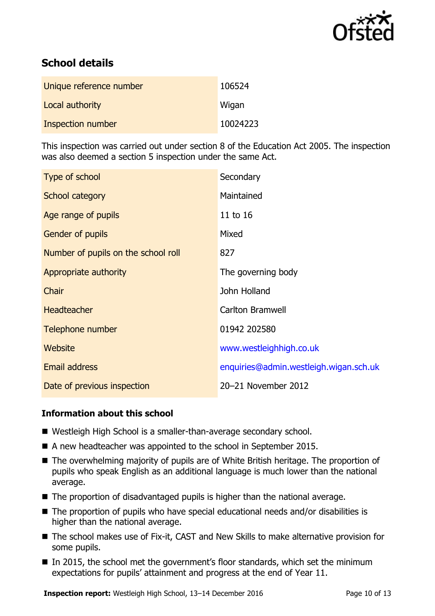

# **School details**

| Unique reference number | 106524   |
|-------------------------|----------|
| Local authority         | Wigan    |
| Inspection number       | 10024223 |

This inspection was carried out under section 8 of the Education Act 2005. The inspection was also deemed a section 5 inspection under the same Act.

| Type of school                      | Secondary                              |
|-------------------------------------|----------------------------------------|
| School category                     | Maintained                             |
| Age range of pupils                 | 11 to 16                               |
| <b>Gender of pupils</b>             | Mixed                                  |
| Number of pupils on the school roll | 827                                    |
| Appropriate authority               | The governing body                     |
| Chair                               | John Holland                           |
| <b>Headteacher</b>                  | <b>Carlton Bramwell</b>                |
| Telephone number                    | 01942 202580                           |
| <b>Website</b>                      | www.westleighhigh.co.uk                |
| Email address                       | enquiries@admin.westleigh.wigan.sch.uk |
| Date of previous inspection         | 20-21 November 2012                    |

### **Information about this school**

- Westleigh High School is a smaller-than-average secondary school.
- A new headteacher was appointed to the school in September 2015.
- The overwhelming majority of pupils are of White British heritage. The proportion of pupils who speak English as an additional language is much lower than the national average.
- The proportion of disadvantaged pupils is higher than the national average.
- The proportion of pupils who have special educational needs and/or disabilities is higher than the national average.
- The school makes use of Fix-it, CAST and New Skills to make alternative provision for some pupils.
- In 2015, the school met the government's floor standards, which set the minimum expectations for pupils' attainment and progress at the end of Year 11.

**Inspection report:** Westleigh High School, 13-14 December 2016 Page 10 of 13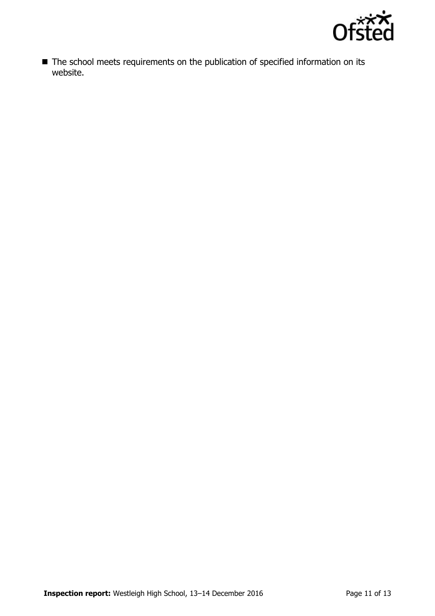

■ The school meets requirements on the publication of specified information on its website.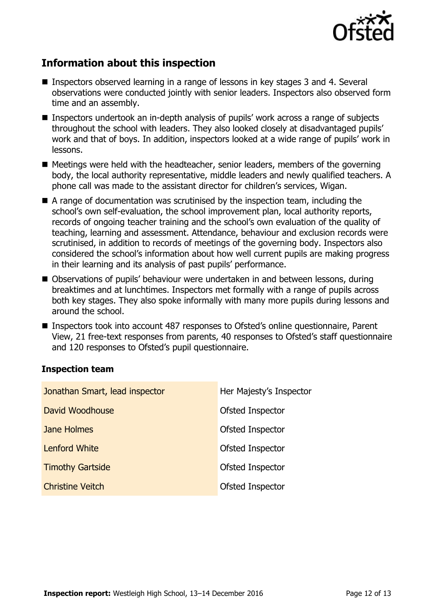

# **Information about this inspection**

- Inspectors observed learning in a range of lessons in key stages 3 and 4. Several observations were conducted jointly with senior leaders. Inspectors also observed form time and an assembly.
- Inspectors undertook an in-depth analysis of pupils' work across a range of subjects throughout the school with leaders. They also looked closely at disadvantaged pupils' work and that of boys. In addition, inspectors looked at a wide range of pupils' work in lessons.
- $\blacksquare$  Meetings were held with the headteacher, senior leaders, members of the governing body, the local authority representative, middle leaders and newly qualified teachers. A phone call was made to the assistant director for children's services, Wigan.
- A range of documentation was scrutinised by the inspection team, including the school's own self-evaluation, the school improvement plan, local authority reports, records of ongoing teacher training and the school's own evaluation of the quality of teaching, learning and assessment. Attendance, behaviour and exclusion records were scrutinised, in addition to records of meetings of the governing body. Inspectors also considered the school's information about how well current pupils are making progress in their learning and its analysis of past pupils' performance.
- Observations of pupils' behaviour were undertaken in and between lessons, during breaktimes and at lunchtimes. Inspectors met formally with a range of pupils across both key stages. They also spoke informally with many more pupils during lessons and around the school.
- Inspectors took into account 487 responses to Ofsted's online questionnaire, Parent View, 21 free-text responses from parents, 40 responses to Ofsted's staff questionnaire and 120 responses to Ofsted's pupil questionnaire.

### **Inspection team**

| Jonathan Smart, lead inspector | Her Majesty's Inspector |
|--------------------------------|-------------------------|
| David Woodhouse                | Ofsted Inspector        |
| Jane Holmes                    | Ofsted Inspector        |
| <b>Lenford White</b>           | Ofsted Inspector        |
| <b>Timothy Gartside</b>        | Ofsted Inspector        |
| <b>Christine Veitch</b>        | Ofsted Inspector        |